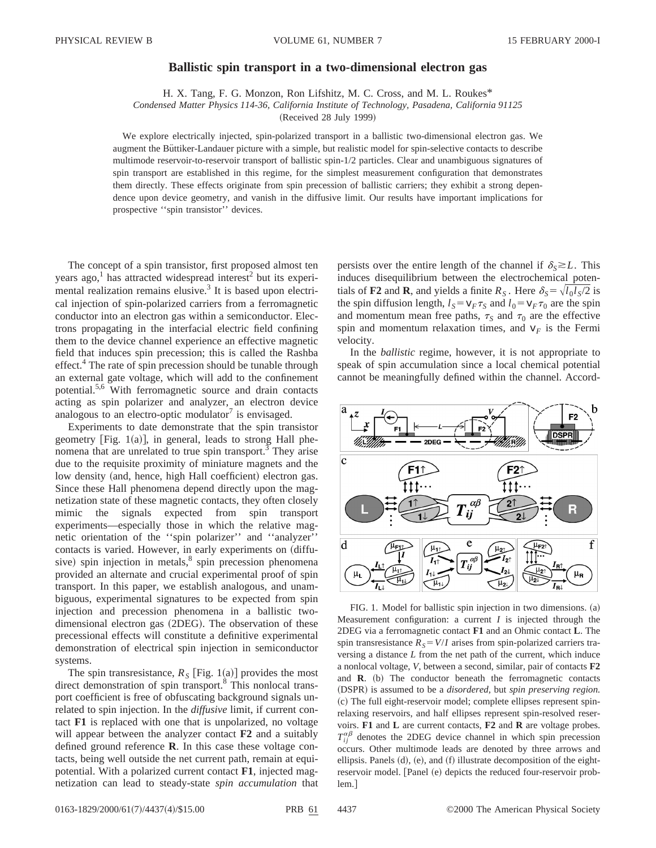## **Ballistic spin transport in a two-dimensional electron gas**

H. X. Tang, F. G. Monzon, Ron Lifshitz, M. C. Cross, and M. L. Roukes\*

*Condensed Matter Physics 114-36, California Institute of Technology, Pasadena, California 91125*

(Received 28 July 1999)

We explore electrically injected, spin-polarized transport in a ballistic two-dimensional electron gas. We augment the Büttiker-Landauer picture with a simple, but realistic model for spin-selective contacts to describe multimode reservoir-to-reservoir transport of ballistic spin-1/2 particles. Clear and unambiguous signatures of spin transport are established in this regime, for the simplest measurement configuration that demonstrates them directly. These effects originate from spin precession of ballistic carriers; they exhibit a strong dependence upon device geometry, and vanish in the diffusive limit. Our results have important implications for prospective ''spin transistor'' devices.

The concept of a spin transistor, first proposed almost ten years ago,<sup>1</sup> has attracted widespread interest<sup>2</sup> but its experimental realization remains elusive.<sup>3</sup> It is based upon electrical injection of spin-polarized carriers from a ferromagnetic conductor into an electron gas within a semiconductor. Electrons propagating in the interfacial electric field confining them to the device channel experience an effective magnetic field that induces spin precession; this is called the Rashba effect.<sup>4</sup> The rate of spin precession should be tunable through an external gate voltage, which will add to the confinement potential.5,6 With ferromagnetic source and drain contacts acting as spin polarizer and analyzer, an electron device analogous to an electro-optic modulator $\prime$  is envisaged.

Experiments to date demonstrate that the spin transistor geometry [Fig. 1(a)], in general, leads to strong Hall phenomena that are unrelated to true spin transport.<sup>3</sup> They arise due to the requisite proximity of miniature magnets and the low density (and, hence, high Hall coefficient) electron gas. Since these Hall phenomena depend directly upon the magnetization state of these magnetic contacts, they often closely mimic the signals expected from spin transport experiments—especially those in which the relative magnetic orientation of the ''spin polarizer'' and ''analyzer'' contacts is varied. However, in early experiments on  $(diffu$ sive) spin injection in metals, $\delta$  spin precession phenomena provided an alternate and crucial experimental proof of spin transport. In this paper, we establish analogous, and unambiguous, experimental signatures to be expected from spin injection and precession phenomena in a ballistic twodimensional electron gas (2DEG). The observation of these precessional effects will constitute a definitive experimental demonstration of electrical spin injection in semiconductor systems.

The spin transresistance,  $R_S$  [Fig. 1(a)] provides the most direct demonstration of spin transport.<sup>8</sup> This nonlocal transport coefficient is free of obfuscating background signals unrelated to spin injection. In the *diffusive* limit, if current contact **F1** is replaced with one that is unpolarized, no voltage will appear between the analyzer contact **F2** and a suitably defined ground reference **R**. In this case these voltage contacts, being well outside the net current path, remain at equipotential. With a polarized current contact **F1**, injected magnetization can lead to steady-state *spin accumulation* that persists over the entire length of the channel if  $\delta_s \geq L$ . This induces disequilibrium between the electrochemical potentials of **F2** and **R**, and yields a finite  $R_S$ . Here  $\delta_S = \sqrt{l_0 l_S/2}$  is the spin diffusion length,  $l_S = v_F \tau_S$  and  $l_0 = v_F \tau_0$  are the spin and momentum mean free paths,  $\tau_s$  and  $\tau_0$  are the effective spin and momentum relaxation times, and  $v_F$  is the Fermi velocity.

In the *ballistic* regime, however, it is not appropriate to speak of spin accumulation since a local chemical potential cannot be meaningfully defined within the channel. Accord-



FIG. 1. Model for ballistic spin injection in two dimensions. (a) Measurement configuration: a current *I* is injected through the 2DEG via a ferromagnetic contact **F1** and an Ohmic contact **L**. The spin transresistance  $R_s = V/I$  arises from spin-polarized carriers traversing a distance *L* from the net path of the current, which induce a nonlocal voltage, *V*, between a second, similar, pair of contacts **F2** and  $\bf{R}$ . (b) The conductor beneath the ferromagnetic contacts ~DSPR! is assumed to be a *disordered,* but *spin preserving region.* (c) The full eight-reservoir model; complete ellipses represent spinrelaxing reservoirs, and half ellipses represent spin-resolved reservoirs. **F1** and **L** are current contacts, **F2** and **R** are voltage probes.  $T_{ij}^{\alpha\beta}$  denotes the 2DEG device channel in which spin precession occurs. Other multimode leads are denoted by three arrows and ellipsis. Panels  $(d)$ ,  $(e)$ , and  $(f)$  illustrate decomposition of the eightreservoir model. [Panel (e) depicts the reduced four-reservoir prob $lem.$ ]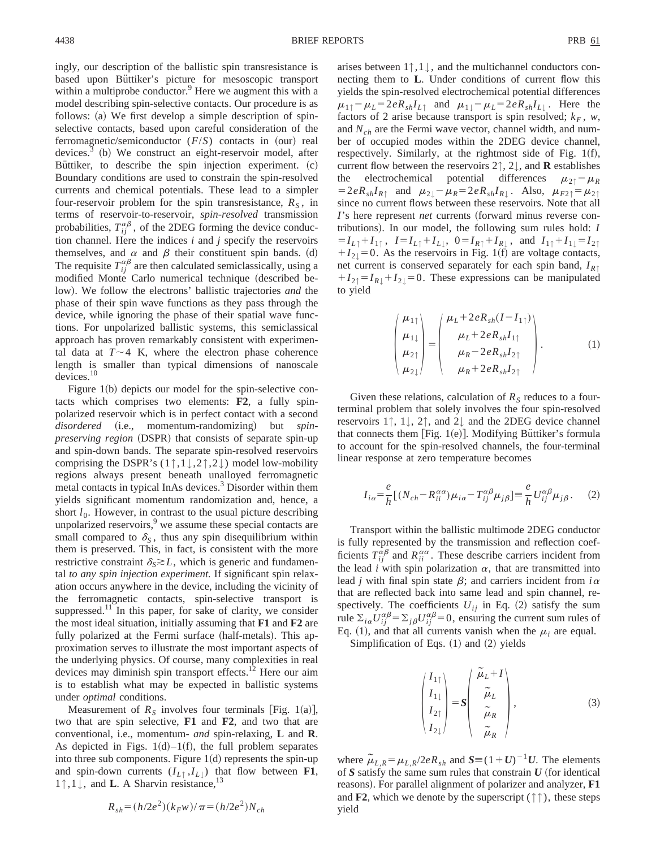ingly, our description of the ballistic spin transresistance is based upon Büttiker's picture for mesoscopic transport within a multiprobe conductor.<sup>9</sup> Here we augment this with a model describing spin-selective contacts. Our procedure is as follows:  $(a)$  We first develop a simple description of spinselective contacts, based upon careful consideration of the ferromagnetic/semiconductor  $(F/S)$  contacts in (our) real devices. $3$  (b) We construct an eight-reservoir model, after Buttiker, to describe the spin injection experiment.  $(c)$ Boundary conditions are used to constrain the spin-resolved currents and chemical potentials. These lead to a simpler four-reservoir problem for the spin transresistance,  $R<sub>S</sub>$ , in terms of reservoir-to-reservoir, *spin-resolved* transmission probabilities,  $T_{ij}^{\alpha\beta}$ , of the 2DEG forming the device conduction channel. Here the indices *i* and *j* specify the reservoirs themselves, and  $\alpha$  and  $\beta$  their constituent spin bands. (d) The requisite  $T_{ij}^{\alpha\beta}$  are then calculated semiclassically, using a modified Monte Carlo numerical technique (described below). We follow the electrons' ballistic trajectories *and* the phase of their spin wave functions as they pass through the device, while ignoring the phase of their spatial wave functions. For unpolarized ballistic systems, this semiclassical approach has proven remarkably consistent with experimental data at  $T \sim 4$  K, where the electron phase coherence length is smaller than typical dimensions of nanoscale devices.<sup>10</sup>

Figure  $1(b)$  depicts our model for the spin-selective contacts which comprises two elements: **F2**, a fully spinpolarized reservoir which is in perfect contact with a second disordered (i.e., momentum-randomizing) but *spinpreserving region* (DSPR) that consists of separate spin-up and spin-down bands. The separate spin-resolved reservoirs comprising the DSPR's  $(1\uparrow,1\downarrow,2\uparrow,2\downarrow)$  model low-mobility regions always present beneath unalloyed ferromagnetic metal contacts in typical InAs devices.<sup>3</sup> Disorder within them yields significant momentum randomization and, hence, a short  $l_0$ . However, in contrast to the usual picture describing unpolarized reservoirs, $9$  we assume these special contacts are small compared to  $\delta_S$ , thus any spin disequilibrium within them is preserved. This, in fact, is consistent with the more restrictive constraint  $\delta_{\rm s} \gtrsim L$ , which is generic and fundamental *to any spin injection experiment.* If significant spin relaxation occurs anywhere in the device, including the vicinity of the ferromagnetic contacts, spin-selective transport is suppressed.<sup>11</sup> In this paper, for sake of clarity, we consider the most ideal situation, initially assuming that **F1** and **F2** are fully polarized at the Fermi surface (half-metals). This approximation serves to illustrate the most important aspects of the underlying physics. Of course, many complexities in real devices may diminish spin transport effects.<sup>12</sup> Here our aim is to establish what may be expected in ballistic systems under *optimal* conditions.

Measurement of  $R<sub>S</sub>$  involves four terminals [Fig. 1(a)], two that are spin selective, **F1** and **F2**, and two that are conventional, i.e., momentum- *and* spin-relaxing, **L** and **R**. As depicted in Figs.  $1(d) - 1(f)$ , the full problem separates into three sub components. Figure  $1(d)$  represents the spin-up and spin-down currents  $(I_{L\uparrow}, I_{L\downarrow})$  that flow between **F1**, <sup>1</sup>↑,1↓, and **<sup>L</sup>**. A Sharvin resistance,13

$$
R_{sh} = (h/2e^2)(k_F w)/\pi = (h/2e^2)N_{ch}
$$

arises between 1↑,1↓, and the multichannel conductors connecting them to **L**. Under conditions of current flow this yields the spin-resolved electrochemical potential differences  $\mu_{1\uparrow} - \mu_L = 2eR_{sh}I_{L\uparrow}$  and  $\mu_{1\downarrow} - \mu_L = 2eR_{sh}I_{L\downarrow}$ . Here the factors of 2 arise because transport is spin resolved;  $k_F$ , *w*, and *Nch* are the Fermi wave vector, channel width, and number of occupied modes within the 2DEG device channel, respectively. Similarly, at the rightmost side of Fig.  $1(f)$ , current flow between the reservoirs  $2\uparrow$ ,  $2\downarrow$ , and **R** establishes<br>the electrochemical potential differences  $\mu_{2\uparrow} - \mu_{R}$ electrochemical potential differences  $\mu_{2\uparrow} - \mu_R$  $=2eR_{sh}I_{R\uparrow}$  and  $\mu_{2\downarrow}-\mu_R=2eR_{sh}I_{R\downarrow}$ . Also,  $\mu_{F2\uparrow}=\mu_{2\uparrow}$ since no current flows between these reservoirs. Note that all *I*'s here represent *net* currents (forward minus reverse contributions). In our model, the following sum rules hold: *I*  $=$ *I*<sub>L↑</sub>+*I*<sub>1</sub>↑</sub>,  $I=I_{L\uparrow}+I_{L\downarrow}$ ,  $0=I_{R\uparrow}+I_{R\downarrow}$ , and  $I_{1\uparrow}+I_{1\downarrow}=I_{2\uparrow}$  $+I_{2\downarrow}=0$ . As the reservoirs in Fig. 1(f) are voltage contacts, net current is conserved separately for each spin band, *IR*<sup>↑</sup>  $+I_{2\uparrow}=I_{R\downarrow}+I_{2\downarrow}=0$ . These expressions can be manipulated to yield

$$
\begin{pmatrix} \mu_{1\uparrow} \\ \mu_{1\downarrow} \\ \mu_{2\uparrow} \\ \mu_{2\downarrow} \end{pmatrix} = \begin{pmatrix} \mu_L + 2eR_{sh}(I - I_{1\uparrow}) \\ \mu_L + 2eR_{sh}I_{1\uparrow} \\ \mu_R - 2eR_{sh}I_{2\uparrow} \\ \mu_R + 2eR_{sh}I_{2\uparrow} \end{pmatrix} . \tag{1}
$$

Given these relations, calculation of  $R<sub>S</sub>$  reduces to a fourterminal problem that solely involves the four spin-resolved reservoirs 1↑, 1↓, 2↑, and 2↓ and the 2DEG device channel that connects them [Fig. 1(e)]. Modifying Büttiker's formula to account for the spin-resolved channels, the four-terminal linear response at zero temperature becomes

$$
I_{i\alpha} = \frac{e}{h} [(N_{ch} - R_{ii}^{\alpha\alpha})\mu_{i\alpha} - T_{ij}^{\alpha\beta}\mu_{j\beta}] \equiv \frac{e}{h} U_{ij}^{\alpha\beta}\mu_{j\beta}.
$$
 (2)

Transport within the ballistic multimode 2DEG conductor is fully represented by the transmission and reflection coefficients  $T_{ij}^{\alpha\beta}$  and  $R_{ii}^{\alpha\alpha}$ . These describe carriers incident from the lead *i* with spin polarization  $\alpha$ , that are transmitted into lead *j* with final spin state  $\beta$ ; and carriers incident from  $i\alpha$ that are reflected back into same lead and spin channel, respectively. The coefficients  $U_{ij}$  in Eq. (2) satisfy the sum rule  $\sum_{i\alpha} U_{ij}^{\alpha\beta} = \sum_{j\beta} U_{ij}^{\alpha\beta} = 0$ , ensuring the current sum rules of Eq. (1), and that all currents vanish when the  $\mu_i$  are equal.

Simplification of Eqs.  $(1)$  and  $(2)$  yields

$$
\begin{pmatrix} I_{1\uparrow} \\ I_{1\downarrow} \\ I_{2\uparrow} \\ I_{2\downarrow} \end{pmatrix} = S \begin{pmatrix} \widetilde{\mu}_L + I \\ \widetilde{\mu}_L \\ \widetilde{\mu}_R \\ \widetilde{\mu}_R \end{pmatrix}, \tag{3}
$$

where  $\tilde{\mu}_{L,R} = \mu_{L,R}/2eR_{sh}$  and  $S = (1+U)^{-1}U$ . The elements of  $S$  satisfy the same sum rules that constrain  $U$  (for identical reasons). For parallel alignment of polarizer and analyzer, **F1** and **F2**, which we denote by the superscript  $(\uparrow \uparrow)$ , these steps yield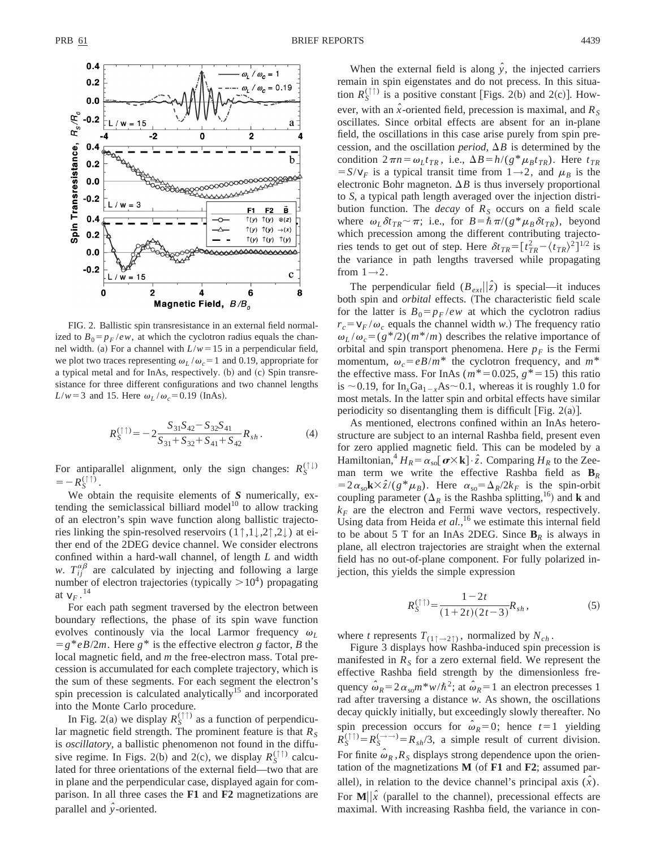

FIG. 2. Ballistic spin transresistance in an external field normalized to  $B_0 = p_F /ew$ , at which the cyclotron radius equals the channel width. (a) For a channel with  $L/w = 15$  in a perpendicular field, we plot two traces representing  $\omega_L / \omega_c = 1$  and 0.19, appropriate for a typical metal and for InAs, respectively. (b) and (c) Spin transresistance for three different configurations and two channel lengths  $L/w=3$  and 15. Here  $\omega_L/\omega_c=0.19$  (InAs).

$$
R_S^{(\uparrow\uparrow)} = -2 \frac{S_{31} S_{42} - S_{32} S_{41}}{S_{31} + S_{32} + S_{41} + S_{42}} R_{sh}.
$$
 (4)

For antiparallel alignment, only the sign changes:  $R_S^{(\uparrow\downarrow)}$  $=-R_{S}^{(\uparrow\uparrow)}$ .

We obtain the requisite elements of *S* numerically, extending the semiclassical billiard model<sup>10</sup> to allow tracking of an electron's spin wave function along ballistic trajectories linking the spin-resolved reservoirs (1↑,1↓,2↑,2↓) at either end of the 2DEG device channel. We consider electrons confined within a hard-wall channel, of length *L* and width *w*.  $T_{ij}^{\alpha\beta}$  are calculated by injecting and following a large number of electron trajectories (typically  $> 10<sup>4</sup>$ ) propagating at  $v_F$ .<sup>14</sup>

For each path segment traversed by the electron between boundary reflections, the phase of its spin wave function evolves continually via the local Larmor frequency  $\omega_L$  $= g^*eB/2m$ . Here  $g^*$  is the effective electron *g* factor, *B* the local magnetic field, and *m* the free-electron mass. Total precession is accumulated for each complete trajectory, which is the sum of these segments. For each segment the electron's spin precession is calculated analytically<sup>15</sup> and incorporated into the Monte Carlo procedure.

In Fig. 2(a) we display  $R_S^{(\uparrow \uparrow)}$  as a function of perpendicular magnetic field strength. The prominent feature is that  $R<sub>S</sub>$ is *oscillatory*, a ballistic phenomenon not found in the diffusive regime. In Figs. 2(b) and 2(c), we display  $R_S^{(\uparrow\uparrow)}$  calculated for three orientations of the external field—two that are in plane and the perpendicular case, displayed again for comparison. In all three cases the **F1** and **F2** magnetizations are parallel and *yˆ*-oriented.

When the external field is along  $\hat{y}$ , the injected carriers remain in spin eigenstates and do not precess. In this situation  $R_S^{(\uparrow\uparrow)}$  is a positive constant [Figs. 2(b) and 2(c)]. However, with an  $\hat{x}$ -oriented field, precession is maximal, and  $R_s$ oscillates. Since orbital effects are absent for an in-plane field, the oscillations in this case arise purely from spin precession, and the oscillation *period*,  $\Delta B$  is determined by the condition  $2\pi n = \omega_L t_{TR}$ , i.e.,  $\Delta B = h/(g^* \mu_B t_{TR})$ . Here  $t_{TR}$  $= S/v_F$  is a typical transit time from  $1 \rightarrow 2$ , and  $\mu_B$  is the electronic Bohr magneton.  $\Delta B$  is thus inversely proportional to *S*, a typical path length averaged over the injection distribution function. The *decay* of  $R<sub>S</sub>$  occurs on a field scale where  $\omega_L \delta t_{TR} \sim \pi$ ; i.e., for  $B = \hbar \pi/(g^* \mu_B \delta t_{TR})$ , beyond which precession among the different contributing trajectories tends to get out of step. Here  $\delta t_{TR} = \left[ t_{TR}^2 - \langle t_{TR} \rangle^2 \right]^{1/2}$  is the variance in path lengths traversed while propagating from  $1\rightarrow 2$ .

The perpendicular field  $(B_{ext}||\hat{z})$  is special—it induces both spin and *orbital* effects. (The characteristic field scale for the latter is  $B_0 = p_F /ew$  at which the cyclotron radius  $r_c = v_F / \omega_c$  equals the channel width *w*.) The frequency ratio  $\omega_L/\omega_c = (g^*/2)(m^*/m)$  describes the relative importance of orbital and spin transport phenomena. Here  $p_F$  is the Fermi momentum,  $\omega_c = eB/m^*$  the cyclotron frequency, and  $m^*$ the effective mass. For InAs ( $m^*$ =0.025,  $g^*$ =15) this ratio is  $\sim$  0.19, for In<sub>x</sub>Ga<sub>1-x</sub>As $\sim$  0.1, whereas it is roughly 1.0 for most metals. In the latter spin and orbital effects have similar periodicity so disentangling them is difficult [Fig. 2(a)].

As mentioned, electrons confined within an InAs heterostructure are subject to an internal Rashba field, present even for zero applied magnetic field. This can be modeled by a Hamiltonian,<sup>4</sup>  $H_R = \alpha_{so} [\boldsymbol{\sigma} \times \mathbf{k}] \cdot \hat{z}$ . Comparing  $H_R$  to the Zeeman term we write the effective Rashba field as **B***<sup>R</sup>*  $=2\alpha_{so}k\times\hat{z}/(g^*\mu_B)$ . Here  $\alpha_{so}=\Delta_R/2k_F$  is the spin-orbit coupling parameter ( $\Delta_R$  is the Rashba splitting,<sup>16</sup>) and **k** and  $k_F$  are the electron and Fermi wave vectors, respectively. Using data from Heida *et al.*, <sup>16</sup> we estimate this internal field to be about 5 T for an InAs 2DEG. Since  $B_R$  is always in plane, all electron trajectories are straight when the external field has no out-of-plane component. For fully polarized injection, this yields the simple expression

$$
R_S^{(\uparrow\uparrow)} = \frac{1 - 2t}{(1 + 2t)(2t - 3)} R_{sh},\tag{5}
$$

where *t* represents  $T_{(1\uparrow \rightarrow 2\uparrow)}$ , normalized by  $N_{ch}$ .

Figure 3 displays how Rashba-induced spin precession is manifested in  $R<sub>S</sub>$  for a zero external field. We represent the effective Rashba field strength by the dimensionless frequency  $\hat{\omega}_R = 2\alpha_{so}m^*w/\hbar^2$ ; at  $\hat{\omega}_R = 1$  an electron precesses 1 rad after traversing a distance *w*. As shown, the oscillations decay quickly initially, but exceedingly slowly thereafter. No spin precession occurs for  $\hat{\omega}_R = 0$ ; hence  $t = 1$  yielding  $R_S^{(\uparrow\uparrow)} = R_S^{(\rightarrow\rightarrow)} = R_{sh}/3$ , a simple result of current division. For finite  $\hat{\omega}_R$ ,  $R_S$  displays strong dependence upon the orientation of the magnetizations  $M$  (of  $F1$  and  $F2$ ; assumed parallel), in relation to the device channel's principal axis  $(\hat{x})$ . For  $\mathbf{M}||\hat{x}$  (parallel to the channel), precessional effects are maximal. With increasing Rashba field, the variance in con-